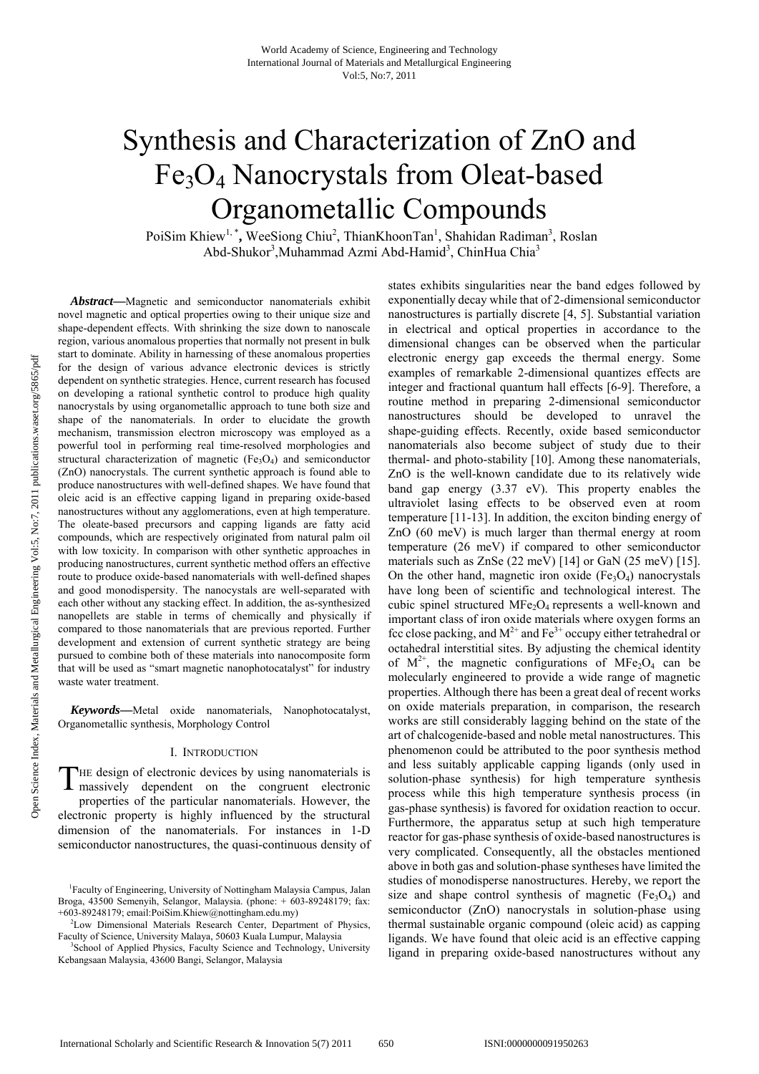# Synthesis and Characterization of ZnO and Fe3O4 Nanocrystals from Oleat-based Organometallic Compounds

PoiSim Khiew<sup>1,\*</sup>, WeeSiong Chiu<sup>2</sup>, ThianKhoonTan<sup>1</sup>, Shahidan Radiman<sup>3</sup>, Roslan Abd-Shukor<sup>3</sup>, Muhammad Azmi Abd-Hamid<sup>3</sup>, ChinHua Chia<sup>3</sup>

*Abstract***—**Magnetic and semiconductor nanomaterials exhibit novel magnetic and optical properties owing to their unique size and shape-dependent effects. With shrinking the size down to nanoscale region, various anomalous properties that normally not present in bulk start to dominate. Ability in harnessing of these anomalous properties for the design of various advance electronic devices is strictly dependent on synthetic strategies. Hence, current research has focused on developing a rational synthetic control to produce high quality nanocrystals by using organometallic approach to tune both size and shape of the nanomaterials. In order to elucidate the growth mechanism, transmission electron microscopy was employed as a powerful tool in performing real time-resolved morphologies and structural characterization of magnetic  $(Fe<sub>3</sub>O<sub>4</sub>)$  and semiconductor (ZnO) nanocrystals. The current synthetic approach is found able to produce nanostructures with well-defined shapes. We have found that oleic acid is an effective capping ligand in preparing oxide-based nanostructures without any agglomerations, even at high temperature. The oleate-based precursors and capping ligands are fatty acid compounds, which are respectively originated from natural palm oil with low toxicity. In comparison with other synthetic approaches in producing nanostructures, current synthetic method offers an effective route to produce oxide-based nanomaterials with well-defined shapes and good monodispersity. The nanocystals are well-separated with each other without any stacking effect. In addition, the as-synthesized nanopellets are stable in terms of chemically and physically if compared to those nanomaterials that are previous reported. Further development and extension of current synthetic strategy are being pursued to combine both of these materials into nanocomposite form that will be used as "smart magnetic nanophotocatalyst" for industry waste water treatment.

*Keywords***—**Metal oxide nanomaterials, Nanophotocatalyst, Organometallic synthesis, Morphology Control

## I. INTRODUCTION

THE design of electronic devices by using nanomaterials is massively dependent on the congruent electronic massively dependent on the congruent electronic properties of the particular nanomaterials. However, the electronic property is highly influenced by the structural dimension of the nanomaterials. For instances in 1-D semiconductor nanostructures, the quasi-continuous density of

states exhibits singularities near the band edges followed by exponentially decay while that of 2-dimensional semiconductor nanostructures is partially discrete [4, 5]. Substantial variation in electrical and optical properties in accordance to the dimensional changes can be observed when the particular electronic energy gap exceeds the thermal energy. Some examples of remarkable 2-dimensional quantizes effects are integer and fractional quantum hall effects [6-9]. Therefore, a routine method in preparing 2-dimensional semiconductor nanostructures should be developed to unravel the shape-guiding effects. Recently, oxide based semiconductor nanomaterials also become subject of study due to their thermal- and photo-stability [10]. Among these nanomaterials, ZnO is the well-known candidate due to its relatively wide band gap energy (3.37 eV). This property enables the ultraviolet lasing effects to be observed even at room temperature [11-13]. In addition, the exciton binding energy of ZnO (60 meV) is much larger than thermal energy at room temperature (26 meV) if compared to other semiconductor materials such as ZnSe (22 meV) [14] or GaN (25 meV) [15]. On the other hand, magnetic iron oxide  $(Fe<sub>3</sub>O<sub>4</sub>)$  nanocrystals have long been of scientific and technological interest. The cubic spinel structured  $MFe<sub>2</sub>O<sub>4</sub>$  represents a well-known and important class of iron oxide materials where oxygen forms an fcc close packing, and  $M^{2+}$  and  $Fe^{3+}$  occupy either tetrahedral or octahedral interstitial sites. By adjusting the chemical identity of  $M^{2+}$ , the magnetic configurations of MFe<sub>2</sub>O<sub>4</sub> can be molecularly engineered to provide a wide range of magnetic properties. Although there has been a great deal of recent works on oxide materials preparation, in comparison, the research works are still considerably lagging behind on the state of the art of chalcogenide-based and noble metal nanostructures. This phenomenon could be attributed to the poor synthesis method and less suitably applicable capping ligands (only used in solution-phase synthesis) for high temperature synthesis process while this high temperature synthesis process (in gas-phase synthesis) is favored for oxidation reaction to occur. Furthermore, the apparatus setup at such high temperature reactor for gas-phase synthesis of oxide-based nanostructures is very complicated. Consequently, all the obstacles mentioned above in both gas and solution-phase syntheses have limited the studies of monodisperse nanostructures. Hereby, we report the size and shape control synthesis of magnetic  $(Fe<sub>3</sub>O<sub>4</sub>)$  and semiconductor (ZnO) nanocrystals in solution-phase using thermal sustainable organic compound (oleic acid) as capping ligands. We have found that oleic acid is an effective capping ligand in preparing oxide-based nanostructures without any

<sup>1</sup> Faculty of Engineering, University of Nottingham Malaysia Campus, Jalan Broga, 43500 Semenyih, Selangor, Malaysia. (phone: + 603-89248179; fax: +603-89248179; email:PoiSim.Khiew@nottingham.edu.my) 2

<sup>&</sup>lt;sup>2</sup>Low Dimensional Materials Research Center, Department of Physics, Faculty of Science, University Malaya, 50603 Kuala Lumpur, Malaysia 3

<sup>&</sup>lt;sup>3</sup>School of Applied Physics, Faculty Science and Technology, University Kebangsaan Malaysia, 43600 Bangi, Selangor, Malaysia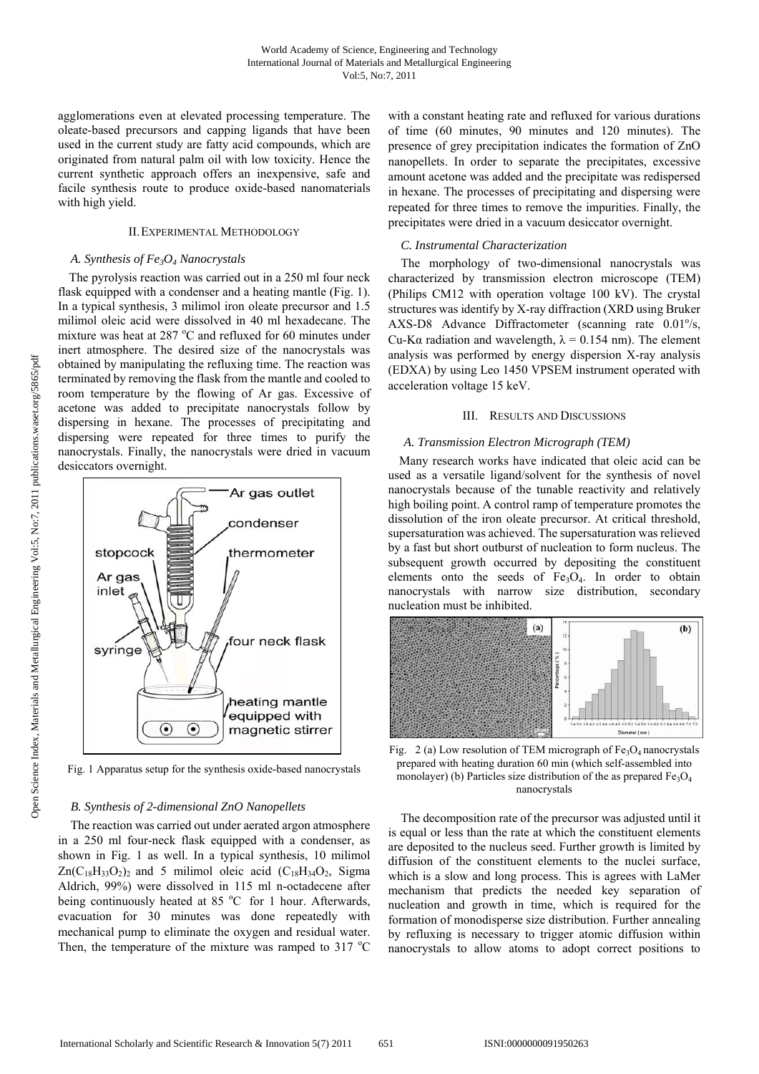agglomerations even at elevated processing temperature. The oleate-based precursors and capping ligands that have been used in the current study are fatty acid compounds, which are originated from natural palm oil with low toxicity. Hence the current synthetic approach offers an inexpensive, safe and facile synthesis route to produce oxide-based nanomaterials with high yield.

## II.EXPERIMENTAL METHODOLOGY

# *A. Synthesis of Fe3O4 Nanocrystals*

The pyrolysis reaction was carried out in a 250 ml four neck flask equipped with a condenser and a heating mantle (Fig. 1). In a typical synthesis, 3 milimol iron oleate precursor and 1.5 milimol oleic acid were dissolved in 40 ml hexadecane. The mixture was heat at 287 $\degree$ C and refluxed for 60 minutes under inert atmosphere. The desired size of the nanocrystals was obtained by manipulating the refluxing time. The reaction was terminated by removing the flask from the mantle and cooled to room temperature by the flowing of Ar gas. Excessive of acetone was added to precipitate nanocrystals follow by dispersing in hexane. The processes of precipitating and dispersing were repeated for three times to purify the nanocrystals. Finally, the nanocrystals were dried in vacuum desiccators overnight.



Fig. 1 Apparatus setup for the synthesis oxide-based nanocrystals

## *B. Synthesis of 2-dimensional ZnO Nanopellets*

The reaction was carried out under aerated argon atmosphere in a 250 ml four-neck flask equipped with a condenser, as shown in Fig. 1 as well. In a typical synthesis, 10 milimol  $Zn(C_{18}H_{33}O_2)$ <sub>2</sub> and 5 milimol oleic acid (C<sub>18</sub>H<sub>34</sub>O<sub>2</sub>, Sigma Aldrich, 99%) were dissolved in 115 ml n-octadecene after being continuously heated at  $85^{\circ}$ C for 1 hour. Afterwards, evacuation for 30 minutes was done repeatedly with mechanical pump to eliminate the oxygen and residual water. Then, the temperature of the mixture was ramped to  $317 \text{ °C}$  with a constant heating rate and refluxed for various durations of time (60 minutes, 90 minutes and 120 minutes). The presence of grey precipitation indicates the formation of ZnO nanopellets. In order to separate the precipitates, excessive amount acetone was added and the precipitate was redispersed in hexane. The processes of precipitating and dispersing were repeated for three times to remove the impurities. Finally, the precipitates were dried in a vacuum desiccator overnight.

## *C. Instrumental Characterization*

The morphology of two-dimensional nanocrystals was characterized by transmission electron microscope (TEM) (Philips CM12 with operation voltage 100 kV). The crystal structures was identify by X-ray diffraction (XRD using Bruker AXS-D8 Advance Diffractometer (scanning rate  $0.01\%$ , Cu-K $\alpha$  radiation and wavelength,  $\lambda = 0.154$  nm). The element analysis was performed by energy dispersion X-ray analysis (EDXA) by using Leo 1450 VPSEM instrument operated with acceleration voltage 15 keV.

# III. RESULTS AND DISCUSSIONS

#### *A. Transmission Electron Micrograph (TEM)*

Many research works have indicated that oleic acid can be used as a versatile ligand/solvent for the synthesis of novel nanocrystals because of the tunable reactivity and relatively high boiling point. A control ramp of temperature promotes the dissolution of the iron oleate precursor. At critical threshold, supersaturation was achieved. The supersaturation was relieved by a fast but short outburst of nucleation to form nucleus. The subsequent growth occurred by depositing the constituent elements onto the seeds of  $Fe<sub>3</sub>O<sub>4</sub>$ . In order to obtain nanocrystals with narrow size distribution, secondary nucleation must be inhibited.



Fig. 2 (a) Low resolution of TEM micrograph of  $Fe<sub>3</sub>O<sub>4</sub>$  nanocrystals prepared with heating duration 60 min (which self-assembled into monolayer) (b) Particles size distribution of the as prepared  $Fe<sub>3</sub>O<sub>4</sub>$ nanocrystals

The decomposition rate of the precursor was adjusted until it is equal or less than the rate at which the constituent elements are deposited to the nucleus seed. Further growth is limited by diffusion of the constituent elements to the nuclei surface, which is a slow and long process. This is agrees with LaMer mechanism that predicts the needed key separation of nucleation and growth in time, which is required for the formation of monodisperse size distribution. Further annealing by refluxing is necessary to trigger atomic diffusion within nanocrystals to allow atoms to adopt correct positions to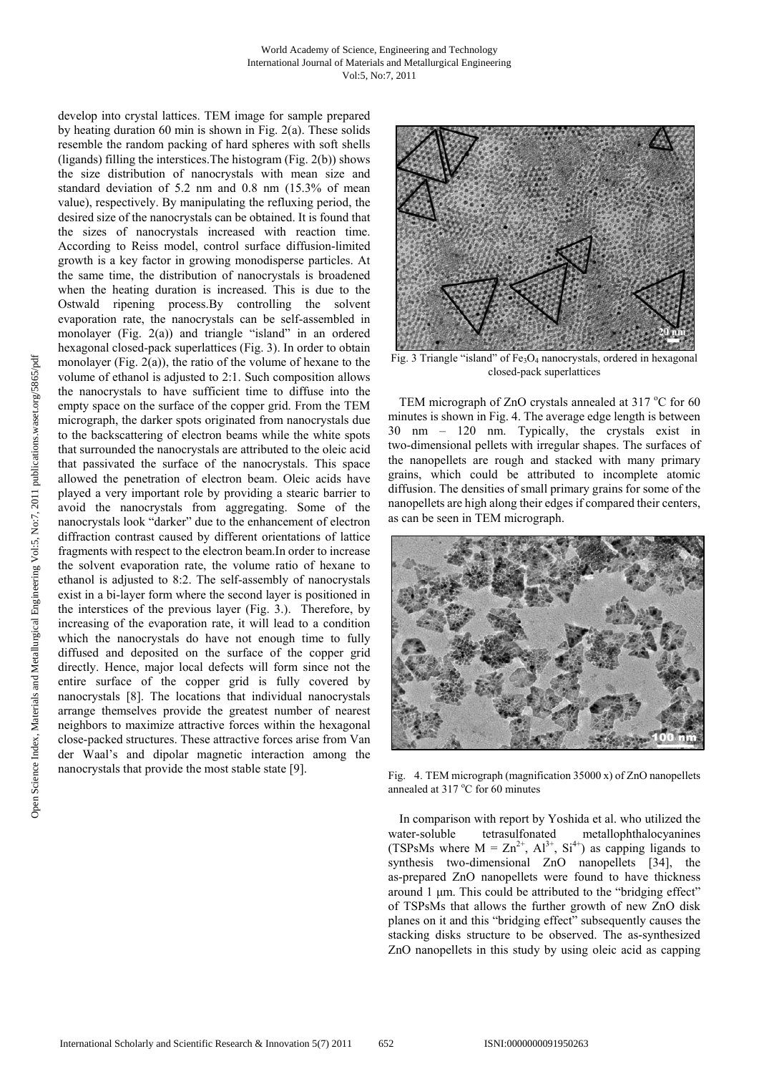develop into crystal lattices. TEM image for sample prepared by heating duration 60 min is shown in Fig. 2(a). These solids resemble the random packing of hard spheres with soft shells (ligands) filling the interstices.The histogram (Fig. 2(b)) shows the size distribution of nanocrystals with mean size and standard deviation of 5.2 nm and 0.8 nm (15.3% of mean value), respectively. By manipulating the refluxing period, the desired size of the nanocrystals can be obtained. It is found that the sizes of nanocrystals increased with reaction time. According to Reiss model, control surface diffusion-limited growth is a key factor in growing monodisperse particles. At the same time, the distribution of nanocrystals is broadened when the heating duration is increased. This is due to the Ostwald ripening process.By controlling the solvent evaporation rate, the nanocrystals can be self-assembled in monolayer (Fig. 2(a)) and triangle "island" in an ordered hexagonal closed-pack superlattices (Fig. 3). In order to obtain monolayer (Fig. 2(a)), the ratio of the volume of hexane to the volume of ethanol is adjusted to 2:1. Such composition allows the nanocrystals to have sufficient time to diffuse into the empty space on the surface of the copper grid. From the TEM micrograph, the darker spots originated from nanocrystals due to the backscattering of electron beams while the white spots that surrounded the nanocrystals are attributed to the oleic acid that passivated the surface of the nanocrystals. This space allowed the penetration of electron beam. Oleic acids have played a very important role by providing a stearic barrier to avoid the nanocrystals from aggregating. Some of the nanocrystals look "darker" due to the enhancement of electron diffraction contrast caused by different orientations of lattice fragments with respect to the electron beam.In order to increase the solvent evaporation rate, the volume ratio of hexane to ethanol is adjusted to 8:2. The self-assembly of nanocrystals exist in a bi-layer form where the second layer is positioned in the interstices of the previous layer (Fig. 3.). Therefore, by increasing of the evaporation rate, it will lead to a condition which the nanocrystals do have not enough time to fully diffused and deposited on the surface of the copper grid directly. Hence, major local defects will form since not the entire surface of the copper grid is fully covered by nanocrystals [8]. The locations that individual nanocrystals arrange themselves provide the greatest number of nearest neighbors to maximize attractive forces within the hexagonal close-packed structures. These attractive forces arise from Van der Waal's and dipolar magnetic interaction among the nanocrystals that provide the most stable state [9].



Fig. 3 Triangle "island" of  $Fe<sub>3</sub>O<sub>4</sub>$  nanocrystals, ordered in hexagonal closed-pack superlattices

TEM micrograph of ZnO crystals annealed at 317  $^{\circ}$ C for 60 minutes is shown in Fig. 4. The average edge length is between 30 nm – 120 nm. Typically, the crystals exist in two-dimensional pellets with irregular shapes. The surfaces of the nanopellets are rough and stacked with many primary grains, which could be attributed to incomplete atomic diffusion. The densities of small primary grains for some of the nanopellets are high along their edges if compared their centers, as can be seen in TEM micrograph.



Fig. 4. TEM micrograph (magnification 35000 x) of ZnO nanopellets annealed at 317 °C for 60 minutes

In comparison with report by Yoshida et al. who utilized the water-soluble tetrasulfonated metallophthalocyanines (TSPsMs where  $M = Zn^{2+}$ ,  $Al^{3+}$ ,  $Si^{4+}$ ) as capping ligands to synthesis two-dimensional ZnO nanopellets [34], the as-prepared ZnO nanopellets were found to have thickness around 1 μm. This could be attributed to the "bridging effect" of TSPsMs that allows the further growth of new ZnO disk planes on it and this "bridging effect" subsequently causes the stacking disks structure to be observed. The as-synthesized ZnO nanopellets in this study by using oleic acid as capping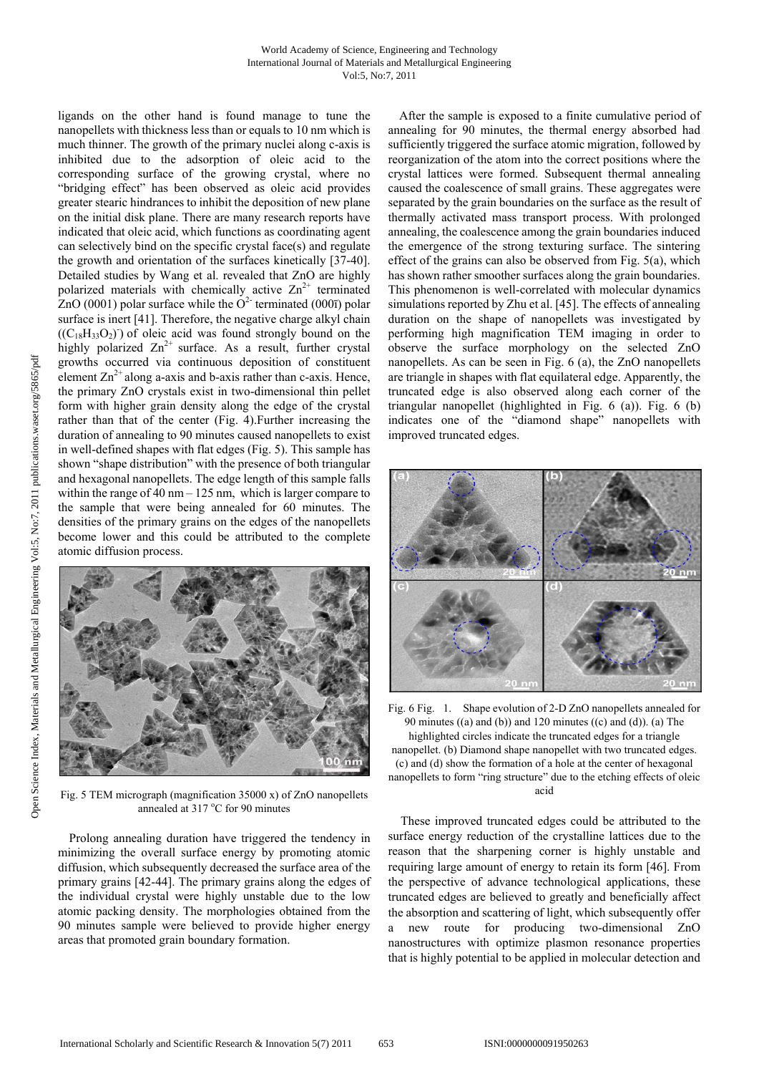#### World Academy of Science, Engineering and Technology International Journal of Materials and Metallurgical Engineering Vol:5, No:7, 2011

ligands on the other hand is found manage to tune the nanopellets with thickness less than or equals to 10 nm which is much thinner. The growth of the primary nuclei along c-axis is inhibited due to the adsorption of oleic acid to the corresponding surface of the growing crystal, where no "bridging effect" has been observed as oleic acid provides greater stearic hindrances to inhibit the deposition of new plane on the initial disk plane. There are many research reports have indicated that oleic acid, which functions as coordinating agent can selectively bind on the specific crystal face(s) and regulate the growth and orientation of the surfaces kinetically [37-40]. Detailed studies by Wang et al. revealed that ZnO are highly polarized materials with chemically active  $\text{Zn}^{2+}$  terminated ZnO (0001) polar surface while the  $O^2$  terminated (000 $\bar{\text{}}$ ) polar surface is inert [41]. Therefore, the negative charge alkyl chain  $((C_{18}H_{33}O_2))$  of oleic acid was found strongly bound on the highly polarized  $Zn^{2+}$  surface. As a result, further crystal growths occurred via continuous deposition of constituent element  $\text{Zn}^{2+}$  along a-axis and b-axis rather than c-axis. Hence, the primary ZnO crystals exist in two-dimensional thin pellet form with higher grain density along the edge of the crystal rather than that of the center (Fig. 4).Further increasing the duration of annealing to 90 minutes caused nanopellets to exist in well-defined shapes with flat edges (Fig. 5). This sample has shown "shape distribution" with the presence of both triangular and hexagonal nanopellets. The edge length of this sample falls within the range of  $40 \text{ nm} - 125 \text{ nm}$ , which is larger compare to the sample that were being annealed for 60 minutes. The densities of the primary grains on the edges of the nanopellets become lower and this could be attributed to the complete atomic diffusion process.



Fig. 5 TEM micrograph (magnification 35000 x) of ZnO nanopellets annealed at 317 °C for 90 minutes

Prolong annealing duration have triggered the tendency in minimizing the overall surface energy by promoting atomic diffusion, which subsequently decreased the surface area of the primary grains [42-44]. The primary grains along the edges of the individual crystal were highly unstable due to the low atomic packing density. The morphologies obtained from the 90 minutes sample were believed to provide higher energy areas that promoted grain boundary formation.

After the sample is exposed to a finite cumulative period of annealing for 90 minutes, the thermal energy absorbed had sufficiently triggered the surface atomic migration, followed by reorganization of the atom into the correct positions where the crystal lattices were formed. Subsequent thermal annealing caused the coalescence of small grains. These aggregates were separated by the grain boundaries on the surface as the result of thermally activated mass transport process. With prolonged annealing, the coalescence among the grain boundaries induced the emergence of the strong texturing surface. The sintering effect of the grains can also be observed from Fig. 5(a), which has shown rather smoother surfaces along the grain boundaries. This phenomenon is well-correlated with molecular dynamics simulations reported by Zhu et al. [45]. The effects of annealing duration on the shape of nanopellets was investigated by performing high magnification TEM imaging in order to observe the surface morphology on the selected ZnO nanopellets. As can be seen in Fig. 6 (a), the ZnO nanopellets are triangle in shapes with flat equilateral edge. Apparently, the truncated edge is also observed along each corner of the triangular nanopellet (highlighted in Fig. 6 (a)). Fig. 6 (b) indicates one of the "diamond shape" nanopellets with improved truncated edges.



Fig. 6 Fig. 1. Shape evolution of 2-D ZnO nanopellets annealed for 90 minutes  $((a)$  and  $(b)$ ) and 120 minutes  $((c)$  and  $(d)$ ).  $(a)$  The highlighted circles indicate the truncated edges for a triangle nanopellet. (b) Diamond shape nanopellet with two truncated edges. (c) and (d) show the formation of a hole at the center of hexagonal nanopellets to form "ring structure" due to the etching effects of oleic acid

These improved truncated edges could be attributed to the surface energy reduction of the crystalline lattices due to the reason that the sharpening corner is highly unstable and requiring large amount of energy to retain its form [46]. From the perspective of advance technological applications, these truncated edges are believed to greatly and beneficially affect the absorption and scattering of light, which subsequently offer a new route for producing two-dimensional ZnO nanostructures with optimize plasmon resonance properties that is highly potential to be applied in molecular detection and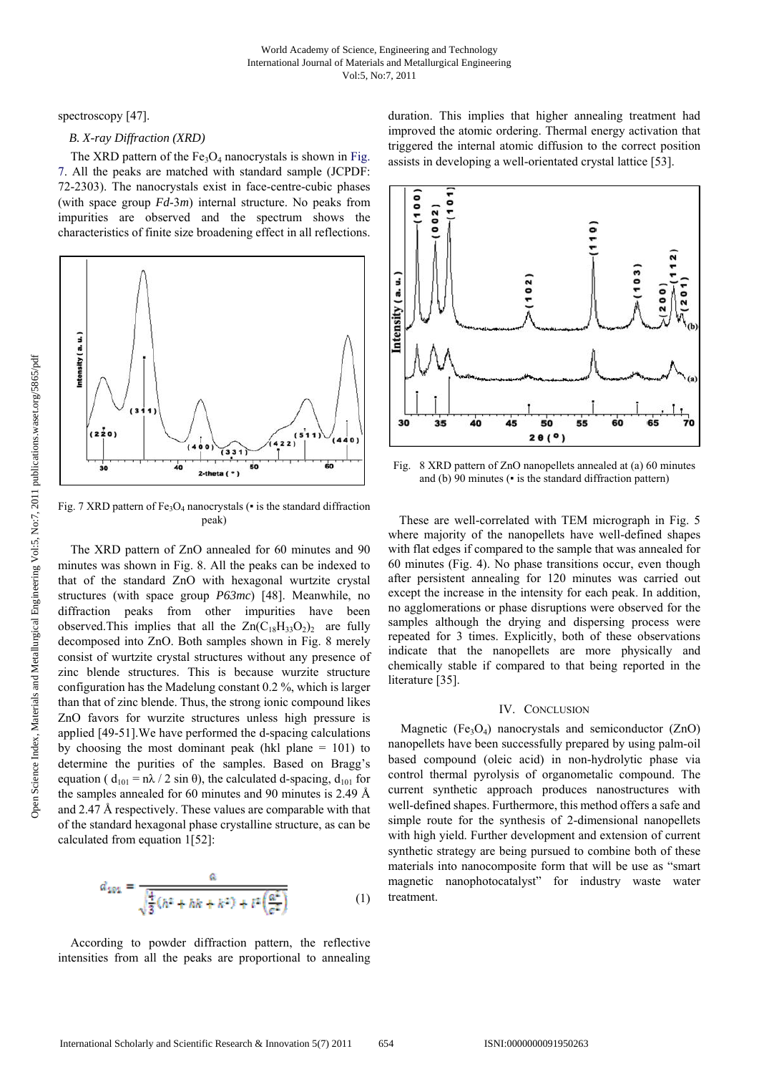spectroscopy [47].

# *B. X-ray Diffraction (XRD)*

The XRD pattern of the  $Fe<sub>3</sub>O<sub>4</sub>$  nanocrystals is shown in Fig. 7. All the peaks are matched with standard sample (JCPDF: 72-2303). The nanocrystals exist in face-centre-cubic phases (with space group *Fd*-3*m*) internal structure. No peaks from impurities are observed and the spectrum shows the characteristics of finite size broadening effect in all reflections.



Fig. 7 XRD pattern of  $Fe<sub>3</sub>O<sub>4</sub>$  nanocrystals ( $\bullet$  is the standard diffraction peak)

The XRD pattern of ZnO annealed for 60 minutes and 90 minutes was shown in Fig. 8. All the peaks can be indexed to that of the standard ZnO with hexagonal wurtzite crystal structures (with space group *P63mc*) [48]. Meanwhile, no diffraction peaks from other impurities have been observed. This implies that all the  $Zn(C_{18}H_{33}O_2)$  are fully decomposed into ZnO. Both samples shown in Fig. 8 merely consist of wurtzite crystal structures without any presence of zinc blende structures. This is because wurzite structure configuration has the Madelung constant 0.2 %, which is larger than that of zinc blende. Thus, the strong ionic compound likes ZnO favors for wurzite structures unless high pressure is applied [49-51].We have performed the d-spacing calculations by choosing the most dominant peak (hkl plane  $= 101$ ) to determine the purities of the samples. Based on Bragg's equation (  $d_{101} = n\lambda / 2 \sin \theta$ ), the calculated d-spacing,  $d_{101}$  for the samples annealed for 60 minutes and 90 minutes is 2.49 Å and 2.47 Å respectively. These values are comparable with that of the standard hexagonal phase crystalline structure, as can be calculated from equation 1[52]:

$$
d_{201} = \frac{a}{\sqrt{\frac{4}{3}(h^2 + hk + k^2) + l^2 \left(\frac{a^2}{c^2}\right)}}\tag{1}
$$

According to powder diffraction pattern, the reflective intensities from all the peaks are proportional to annealing duration. This implies that higher annealing treatment had improved the atomic ordering. Thermal energy activation that triggered the internal atomic diffusion to the correct position assists in developing a well-orientated crystal lattice [53].



Fig. 8 XRD pattern of ZnO nanopellets annealed at (a) 60 minutes and (b) 90 minutes ( $\bullet$  is the standard diffraction pattern)

These are well-correlated with TEM micrograph in Fig. 5 where majority of the nanopellets have well-defined shapes with flat edges if compared to the sample that was annealed for 60 minutes (Fig. 4). No phase transitions occur, even though after persistent annealing for 120 minutes was carried out except the increase in the intensity for each peak. In addition, no agglomerations or phase disruptions were observed for the samples although the drying and dispersing process were repeated for 3 times. Explicitly, both of these observations indicate that the nanopellets are more physically and chemically stable if compared to that being reported in the literature [35].

# IV. CONCLUSION

Magnetic (Fe<sub>3</sub>O<sub>4</sub>) nanocrystals and semiconductor (ZnO) nanopellets have been successfully prepared by using palm-oil based compound (oleic acid) in non-hydrolytic phase via control thermal pyrolysis of organometalic compound. The current synthetic approach produces nanostructures with well-defined shapes. Furthermore, this method offers a safe and simple route for the synthesis of 2-dimensional nanopellets with high yield. Further development and extension of current synthetic strategy are being pursued to combine both of these materials into nanocomposite form that will be use as "smart magnetic nanophotocatalyst" for industry waste water treatment.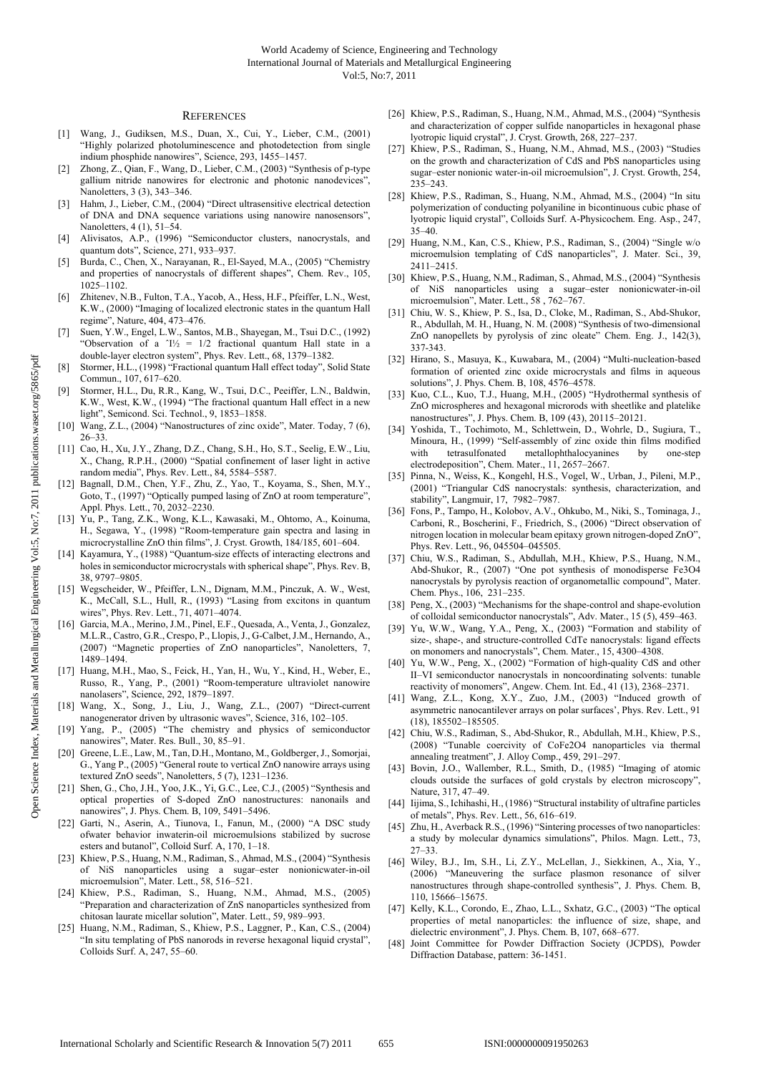#### **REFERENCES**

- [1] Wang, J., Gudiksen, M.S., Duan, X., Cui, Y., Lieber, C.M., (2001) "Highly polarized photoluminescence and photodetection from single indium phosphide nanowires", Science, 293, 1455–1457.
- [2] Zhong, Z., Qian, F., Wang, D., Lieber, C.M., (2003) "Synthesis of p-type gallium nitride nanowires for electronic and photonic nanodevices", Nanoletters, 3 (3), 343–346.
- [3] Hahm, J., Lieber, C.M., (2004) "Direct ultrasensitive electrical detection of DNA and DNA sequence variations using nanowire nanosensors", Nanoletters, 4 (1), 51–54.
- Alivisatos, A.P., (1996) "Semiconductor clusters, nanocrystals, and quantum dots", Science, 271, 933–937.
- [5] Burda, C., Chen, X., Narayanan, R., El-Sayed, M.A., (2005) "Chemistry and properties of nanocrystals of different shapes", Chem. Rev., 105, 1025–1102.
- [6] Zhitenev, N.B., Fulton, T.A., Yacob, A., Hess, H.F., Pfeiffer, L.N., West, K.W., (2000) "Imaging of localized electronic states in the quantum Hall regime", Nature, 404, 473–476.
- [7] Suen, Y.W., Engel, L.W., Santos, M.B., Shayegan, M., Tsui D.C., (1992) "Observation of a  $\gamma$ <sup>1</sup>/<sub>2</sub> = 1/2 fractional quantum Hall state in a double-layer electron system", Phys. Rev. Lett., 68, 1379–1382.
- [8] Stormer, H.L., (1998) "Fractional quantum Hall effect today", Solid State Commun., 107, 617–620.
- [9] Stormer, H.L., Du, R.R., Kang, W., Tsui, D.C., Peeiffer, L.N., Baldwin, K.W., West, K.W., (1994) "The fractional quantum Hall effect in a new light", Semicond. Sci. Technol., 9, 1853–1858.
- [10] Wang, Z.L., (2004) "Nanostructures of zinc oxide", Mater. Today, 7 (6), 26–33.
- [11] Cao, H., Xu, J.Y., Zhang, D.Z., Chang, S.H., Ho, S.T., Seelig, E.W., Liu, X., Chang, R.P.H., (2000) "Spatial confinement of laser light in active random media", Phys. Rev. Lett., 84, 5584–5587.
- [12] Bagnall, D.M., Chen, Y.F., Zhu, Z., Yao, T., Koyama, S., Shen, M.Y., Goto, T., (1997) "Optically pumped lasing of ZnO at room temperature", Appl. Phys. Lett., 70, 2032–2230.
- [13] Yu, P., Tang, Z.K., Wong, K.L., Kawasaki, M., Ohtomo, A., Koinuma, H., Segawa, Y., (1998) "Room-temperature gain spectra and lasing in microcrystalline ZnO thin films", J. Cryst. Growth, 184/185, 601–604.
- [14] Kayamura, Y., (1988) "Quantum-size effects of interacting electrons and holes in semiconductor microcrystals with spherical shape", Phys. Rev. B, 38, 9797–9805.
- [15] Wegscheider, W., Pfeiffer, L.N., Dignam, M.M., Pinczuk, A. W., West, K., McCall, S.L., Hull, R., (1993) "Lasing from excitons in quantum wires", Phys. Rev. Lett., 71, 4071–4074.
- [16] Garcia, M.A., Merino, J.M., Pinel, E.F., Quesada, A., Venta, J., Gonzalez, M.L.R., Castro, G.R., Crespo, P., Llopis, J., G-Calbet, J.M., Hernando, A., (2007) "Magnetic properties of ZnO nanoparticles", Nanoletters, 7, 1489–1494.
- [17] Huang, M.H., Mao, S., Feick, H., Yan, H., Wu, Y., Kind, H., Weber, E., Russo, R., Yang, P., (2001) "Room-temperature ultraviolet nanowire nanolasers", Science, 292, 1879–1897.
- [18] Wang, X., Song, J., Liu, J., Wang, Z.L., (2007) "Direct-current nanogenerator driven by ultrasonic waves", Science, 316, 102–105.
- [19] Yang, P., (2005) "The chemistry and physics of semiconductor nanowires", Mater. Res. Bull., 30, 85–91.
- [20] Greene, L.E., Law, M., Tan, D.H., Montano, M., Goldberger, J., Somorjai, G., Yang P., (2005) "General route to vertical ZnO nanowire arrays using textured ZnO seeds", Nanoletters, 5 (7), 1231–1236.
- [21] Shen, G., Cho, J.H., Yoo, J.K., Yi, G.C., Lee, C.J., (2005) "Synthesis and optical properties of S-doped ZnO nanostructures: nanonails and nanowires", J. Phys. Chem. B, 109, 5491–5496.
- [22] Garti, N., Aserin, A., Tiunova, I., Fanun, M., (2000) "A DSC study ofwater behavior inwaterin-oil microemulsions stabilized by sucrose esters and butanol", Colloid Surf. A, 170, 1–18.
- [23] Khiew, P.S., Huang, N.M., Radiman, S., Ahmad, M.S., (2004) "Synthesis of NiS nanoparticles using a sugar–ester nonionicwater-in-oil microemulsion", Mater. Lett., 58, 516–521.
- [24] Khiew, P.S., Radiman, S., Huang, N.M., Ahmad, M.S., (2005) "Preparation and characterization of ZnS nanoparticles synthesized from chitosan laurate micellar solution", Mater. Lett., 59, 989–993.
- [25] Huang, N.M., Radiman, S., Khiew, P.S., Laggner, P., Kan, C.S., (2004) "In situ templating of PbS nanorods in reverse hexagonal liquid crystal", Colloids Surf. A, 247, 55–60.
- [26] Khiew, P.S., Radiman, S., Huang, N.M., Ahmad, M.S., (2004) "Synthesis and characterization of copper sulfide nanoparticles in hexagonal phase lyotropic liquid crystal", J. Cryst. Growth, 268, 227–237.
- [27] Khiew, P.S., Radiman, S., Huang, N.M., Ahmad, M.S., (2003) "Studies on the growth and characterization of CdS and PbS nanoparticles using sugar–ester nonionic water-in-oil microemulsion", J. Cryst. Growth, 254, 235–243.
- [28] Khiew, P.S., Radiman, S., Huang, N.M., Ahmad, M.S., (2004) "In situ polymerization of conducting polyaniline in bicontinuous cubic phase of lyotropic liquid crystal", Colloids Surf. A-Physicochem. Eng. Asp., 247, 35–40.
- [29] Huang, N.M., Kan, C.S., Khiew, P.S., Radiman, S., (2004) "Single w/o microemulsion templating of CdS nanoparticles", J. Mater. Sci., 39, 2411–2415.
- [30] Khiew, P.S., Huang, N.M., Radiman, S., Ahmad, M.S., (2004) "Synthesis of NiS nanoparticles using a sugar–ester nonionicwater-in-oil microemulsion", Mater. Lett., 58, 762-767.
- [31] Chiu, W. S., Khiew, P. S., Isa, D., Cloke, M., Radiman, S., Abd-Shukor, R., Abdullah, M. H., Huang, N. M. (2008) "Synthesis of two-dimensional ZnO nanopellets by pyrolysis of zinc oleate" Chem. Eng. J., 142(3), 337-343.
- [32] Hirano, S., Masuya, K., Kuwabara, M., (2004) "Multi-nucleation-based formation of oriented zinc oxide microcrystals and films in aqueous solutions", J. Phys. Chem. B, 108, 4576–4578.
- [33] Kuo, C.L., Kuo, T.J., Huang, M.H., (2005) "Hydrothermal synthesis of ZnO microspheres and hexagonal microrods with sheetlike and platelike nanostructures", J. Phys. Chem. B, 109 (43), 20115–20121.
- [34] Yoshida, T., Tochimoto, M., Schlettwein, D., Wohrle, D., Sugiura, T., Minoura, H., (1999) "Self-assembly of zinc oxide thin films modified with tetrasulfonated metallophthalocyanines by one-step electrodeposition", Chem. Mater., 11, 2657–2667.
- [35] Pinna, N., Weiss, K., Kongehl, H.S., Vogel, W., Urban, J., Pileni, M.P., (2001) "Triangular CdS nanocrystals: synthesis, characterization, and stability", Langmuir, 17, 7982–7987.
- [36] Fons, P., Tampo, H., Kolobov, A.V., Ohkubo, M., Niki, S., Tominaga, J., Carboni, R., Boscherini, F., Friedrich, S., (2006) "Direct observation of nitrogen location in molecular beam epitaxy grown nitrogen-doped ZnO", Phys. Rev. Lett., 96, 045504–045505.
- [37] Chiu, W.S., Radiman, S., Abdullah, M.H., Khiew, P.S., Huang, N.M., Abd-Shukor, R., (2007) "One pot synthesis of monodisperse Fe3O4 nanocrystals by pyrolysis reaction of organometallic compound", Mater. Chem. Phys., 106, 231–235.
- [38] Peng, X., (2003) "Mechanisms for the shape-control and shape-evolution of colloidal semiconductor nanocrystals", Adv. Mater., 15 (5), 459–463.
- [39] Yu, W.W., Wang, Y.A., Peng, X., (2003) "Formation and stability of size-, shape-, and structure-controlled CdTe nanocrystals: ligand effects on monomers and nanocrystals", Chem. Mater., 15, 4300–4308.
- [40] Yu, W.W., Peng, X., (2002) "Formation of high-quality CdS and other II–VI semiconductor nanocrystals in noncoordinating solvents: tunable reactivity of monomers", Angew. Chem. Int. Ed., 41 (13), 2368–2371.
- [41] Wang, Z.L., Kong, X.Y., Zuo, J.M., (2003) "Induced growth of asymmetric nanocantilever arrays on polar surfaces', Phys. Rev. Lett., 91 (18), 185502–185505.
- [42] Chiu, W.S., Radiman, S., Abd-Shukor, R., Abdullah, M.H., Khiew, P.S., (2008) "Tunable coercivity of CoFe2O4 nanoparticles via thermal annealing treatment", J. Alloy Comp., 459, 291–297.
- [43] Bovin, J.O., Wallember, R.L., Smith, D., (1985) "Imaging of atomic clouds outside the surfaces of gold crystals by electron microscopy", Nature, 317, 47–49.
- [44] Iijima, S., Ichihashi, H., (1986) "Structural instability of ultrafine particles of metals", Phys. Rev. Lett., 56, 616–619.
- [45] Zhu, H., Averback R.S., (1996) "Sintering processes of two nanoparticles: a study by molecular dynamics simulations", Philos. Magn. Lett., 73,  $27 - 33$
- [46] Wiley, B.J., Im, S.H., Li, Z.Y., McLellan, J., Siekkinen, A., Xia, Y., (2006) "Maneuvering the surface plasmon resonance of silver nanostructures through shape-controlled synthesis", J. Phys. Chem. B, 110, 15666–15675.
- [47] Kelly, K.L., Corondo, E., Zhao, L.L., Sxhatz, G.C., (2003) "The optical properties of metal nanoparticles: the influence of size, shape, and dielectric environment", J. Phys. Chem. B, 107, 668–677.
- [48] Joint Committee for Powder Diffraction Society (JCPDS), Powder Diffraction Database, pattern: 36-1451.